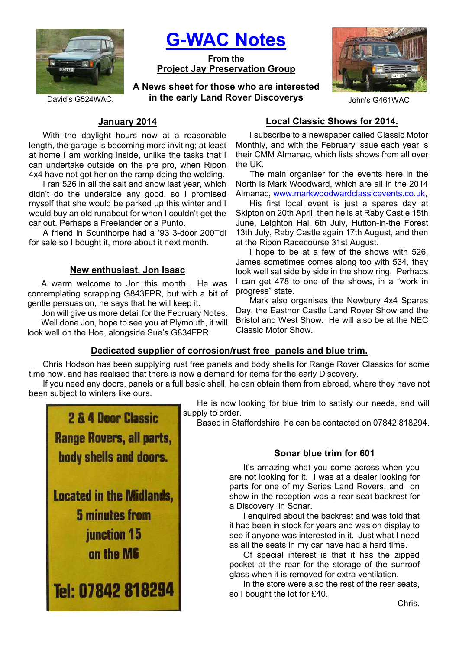

**G-WAC Notes**

**From the Project Jay Preservation Group**

David's G524WAC. *in the early Land Rover Discoverys John's G461WAC* **A News sheet for those who are interested** 



# **January 2014**

With the daylight hours now at a reasonable length, the garage is becoming more inviting; at least at home I am working inside, unlike the tasks that I can undertake outside on the pre pro, when Ripon 4x4 have not got her on the ramp doing the welding.

I ran 526 in all the salt and snow last year, which didn't do the underside any good, so I promised myself that she would be parked up this winter and I would buy an old runabout for when I couldn't get the car out. Perhaps a Freelander or a Punto.

A friend in Scunthorpe had a '93 3-door 200Tdi for sale so I bought it, more about it next month.

## **New enthusiast, Jon Isaac**

A warm welcome to Jon this month. He was contemplating scrapping G843FPR, but with a bit of gentle persuasion, he says that he will keep it.

Jon will give us more detail for the February Notes. Well done Jon, hope to see you at Plymouth, it will look well on the Hoe, alongside Sue's G834FPR.

# **Local Classic Shows for 2014.**

I subscribe to a newspaper called Classic Motor Monthly, and with the February issue each year is their CMM Almanac, which lists shows from all over the UK.

The main organiser for the events here in the North is Mark Woodward, which are all in the 2014 Almanac, www.markwoodwardclassicevents.co.uk,

His first local event is just a spares day at Skipton on 20th April, then he is at Raby Castle 15th June, Leighton Hall 6th July, Hutton-in-the Forest 13th July, Raby Castle again 17th August, and then at the Ripon Racecourse 31st August.

I hope to be at a few of the shows with 526, James sometimes comes along too with 534, they look well sat side by side in the show ring. Perhaps I can get 478 to one of the shows, in a "work in progress" state.

Mark also organises the Newbury 4x4 Spares Day, the Eastnor Castle Land Rover Show and the Bristol and West Show. He will also be at the NEC Classic Motor Show.

# **Dedicated supplier of corrosion/rust free panels and blue trim.**

Chris Hodson has been supplying rust free panels and body shells for Range Rover Classics for some time now, and has realised that there is now a demand for items for the early Discovery.

If you need any doors, panels or a full basic shell, he can obtain them from abroad, where they have not been subject to winters like ours.



He is now looking for blue trim to satisfy our needs, and will supply to order.

Based in Staffordshire, he can be contacted on 07842 818294.

# **Sonar blue trim for 601**

It's amazing what you come across when you are not looking for it. I was at a dealer looking for parts for one of my Series Land Rovers, and on show in the reception was a rear seat backrest for a Discovery, in Sonar.

I enquired about the backrest and was told that it had been in stock for years and was on display to see if anyone was interested in it. Just what I need as all the seats in my car have had a hard time.

Of special interest is that it has the zipped pocket at the rear for the storage of the sunroof glass when it is removed for extra ventilation.

In the store were also the rest of the rear seats, so I bought the lot for £40.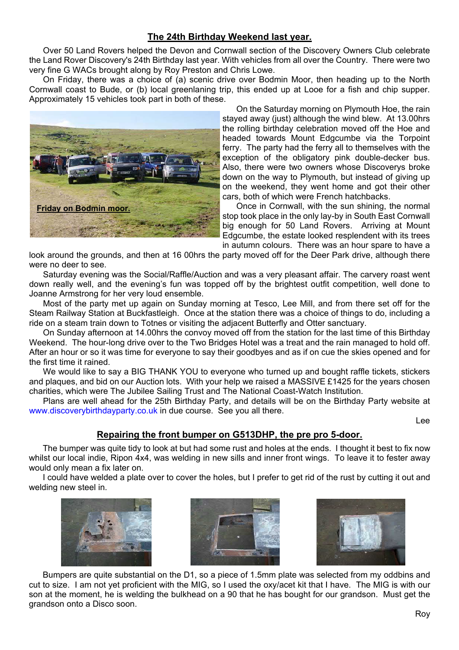# **The 24th Birthday Weekend last year.**

Over 50 Land Rovers helped the Devon and Cornwall section of the Discovery Owners Club celebrate the Land Rover Discovery's 24th Birthday last year. With vehicles from all over the Country. There were two very fine G WACs brought along by Roy Preston and Chris Lowe.

On Friday, there was a choice of (a) scenic drive over Bodmin Moor, then heading up to the North Cornwall coast to Bude, or (b) local greenlaning trip, this ended up at Looe for a fish and chip supper. Approximately 15 vehicles took part in both of these.



On the Saturday morning on Plymouth Hoe, the rain stayed away (just) although the wind blew. At 13.00hrs the rolling birthday celebration moved off the Hoe and headed towards Mount Edgcumbe via the Torpoint ferry. The party had the ferry all to themselves with the exception of the obligatory pink double-decker bus. Also, there were two owners whose Discoverys broke down on the way to Plymouth, but instead of giving up on the weekend, they went home and got their other cars, both of which were French hatchbacks.

Once in Cornwall, with the sun shining, the normal stop took place in the only lay-by in South East Cornwall big enough for 50 Land Rovers. Arriving at Mount Edgcumbe, the estate looked resplendent with its trees in autumn colours. There was an hour spare to have a

look around the grounds, and then at 16 00hrs the party moved off for the Deer Park drive, although there were no deer to see.

Saturday evening was the Social/Raffle/Auction and was a very pleasant affair. The carvery roast went down really well, and the evening's fun was topped off by the brightest outfit competition, well done to Joanne Armstrong for her very loud ensemble.

Most of the party met up again on Sunday morning at Tesco, Lee Mill, and from there set off for the Steam Railway Station at Buckfastleigh. Once at the station there was a choice of things to do, including a ride on a steam train down to Totnes or visiting the adjacent Butterfly and Otter sanctuary.

On Sunday afternoon at 14.00hrs the convoy moved off from the station for the last time of this Birthday Weekend. The hour-long drive over to the Two Bridges Hotel was a treat and the rain managed to hold off. After an hour or so it was time for everyone to say their goodbyes and as if on cue the skies opened and for the first time it rained.

We would like to say a BIG THANK YOU to everyone who turned up and bought raffle tickets, stickers and plaques, and bid on our Auction lots. With your help we raised a MASSIVE £1425 for the years chosen charities, which were The Jubilee Sailing Trust and The National Coast-Watch Institution.

Plans are well ahead for the 25th Birthday Party, and details will be on the Birthday Party website at www.discoverybirthdayparty.co.uk in due course. See you all there.

Lee

# **Repairing the front bumper on G513DHP, the pre pro 5-door.**

The bumper was quite tidy to look at but had some rust and holes at the ends. I thought it best to fix now whilst our local indie, Ripon 4x4, was welding in new sills and inner front wings. To leave it to fester away would only mean a fix later on.

I could have welded a plate over to cover the holes, but I prefer to get rid of the rust by cutting it out and welding new steel in.







Bumpers are quite substantial on the D1, so a piece of 1.5mm plate was selected from my oddbins and cut to size. I am not yet proficient with the MIG, so I used the oxy/acet kit that I have. The MIG is with our son at the moment, he is welding the bulkhead on a 90 that he has bought for our grandson. Must get the grandson onto a Disco soon.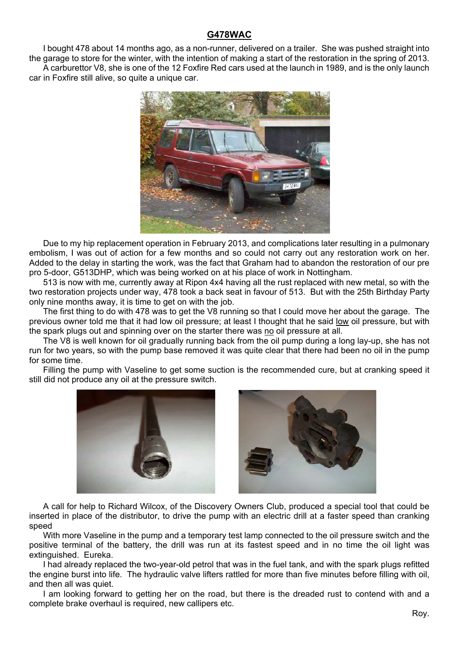## **G478WAC**

I bought 478 about 14 months ago, as a non-runner, delivered on a trailer. She was pushed straight into the garage to store for the winter, with the intention of making a start of the restoration in the spring of 2013. A carburettor V8, she is one of the 12 Foxfire Red cars used at the launch in 1989, and is the only launch car in Foxfire still alive, so quite a unique car.



Due to my hip replacement operation in February 2013, and complications later resulting in a pulmonary embolism, I was out of action for a few months and so could not carry out any restoration work on her. Added to the delay in starting the work, was the fact that Graham had to abandon the restoration of our pre pro 5-door, G513DHP, which was being worked on at his place of work in Nottingham.

513 is now with me, currently away at Ripon 4x4 having all the rust replaced with new metal, so with the two restoration projects under way, 478 took a back seat in favour of 513. But with the 25th Birthday Party only nine months away, it is time to get on with the job.

The first thing to do with 478 was to get the V8 running so that I could move her about the garage. The previous owner told me that it had low oil pressure; at least I thought that he said low oil pressure, but with the spark plugs out and spinning over on the starter there was no oil pressure at all.

The V8 is well known for oil gradually running back from the oil pump during a long lay-up, she has not run for two years, so with the pump base removed it was quite clear that there had been no oil in the pump for some time.

Filling the pump with Vaseline to get some suction is the recommended cure, but at cranking speed it still did not produce any oil at the pressure switch.





A call for help to Richard Wilcox, of the Discovery Owners Club, produced a special tool that could be inserted in place of the distributor, to drive the pump with an electric drill at a faster speed than cranking speed

With more Vaseline in the pump and a temporary test lamp connected to the oil pressure switch and the positive terminal of the battery, the drill was run at its fastest speed and in no time the oil light was extinguished. Eureka.

I had already replaced the two-year-old petrol that was in the fuel tank, and with the spark plugs refitted the engine burst into life. The hydraulic valve lifters rattled for more than five minutes before filling with oil, and then all was quiet.

I am looking forward to getting her on the road, but there is the dreaded rust to contend with and a complete brake overhaul is required, new callipers etc.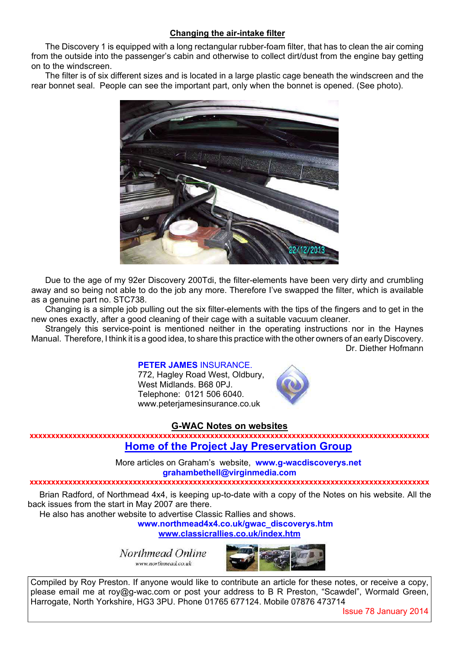## **Changing the air-intake filter**

The Discovery 1 is equipped with a long rectangular rubber-foam filter, that has to clean the air coming from the outside into the passenger's cabin and otherwise to collect dirt/dust from the engine bay getting on to the windscreen.

The filter is of six different sizes and is located in a large plastic cage beneath the windscreen and the rear bonnet seal. People can see the important part, only when the bonnet is opened. (See photo).



Due to the age of my 92er Discovery 200Tdi, the filter-elements have been very dirty and crumbling away and so being not able to do the job any more. Therefore I've swapped the filter, which is available as a genuine part no. STC738.

Changing is a simple job pulling out the six filter-elements with the tips of the fingers and to get in the new ones exactly, after a good cleaning of their cage with a suitable vacuum cleaner.

Strangely this service-point is mentioned neither in the operating instructions nor in the Haynes Manual. Therefore, I think it is a good idea, to share this practice with the other owners of an early Discovery. Dr. Diether Hofmann

### **PETER JAMES** INSURANCE.

772, Hagley Road West, Oldbury, West Midlands. B68 0PJ. Telephone: 0121 506 6040. www.peterjamesinsurance.co.uk



### **G-WAC Notes on websites**

**xxxxxxxxxxxxxxxxxxxxxxxxxxxxxxxxxxxxxxxxxxxxxxxxxxxxxxxxxxxxxxxxxxxxxxxxxxxxxxxxxxxxxxxxxxxxx Home of the Project Jay Preservation Group**

> More articles on Graham's website, **www.g-wacdiscoverys.net grahambethell@virginmedia.com**

#### **xxxxxxxxxxxxxxxxxxxxxxxxxxxxxxxxxxxxxxxxxxxxxxxxxxxxxxxxxxxxxxxxxxxxxxxxxxxxxxxxxxxxxxxxxxxxx**

Brian Radford, of Northmead 4x4, is keeping up-to-date with a copy of the Notes on his website. All the back issues from the start in May 2007 are there.

He also has another website to advertise Classic Rallies and shows.

**www.northmead4x4.co.uk/gwac\_discoverys.htm**

**www.classicrallies.co.uk/index.htm**

Northmead Online www.northmead.co.uk



Compiled by Roy Preston. If anyone would like to contribute an article for these notes, or receive a copy, please email me at roy@g-wac.com or post your address to B R Preston, "Scawdel", Wormald Green, Harrogate, North Yorkshire, HG3 3PU. Phone 01765 677124. Mobile 07876 473714

Issue 78 January 2014